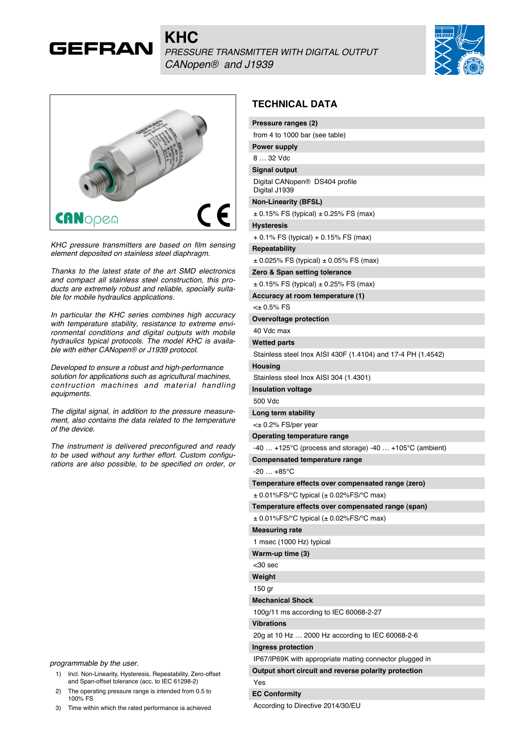





*KHC pressure transmitters are based on film sensing element deposited on stainless steel diaphragm.*

*Thanks to the latest state of the art SMD electronics and compact all stainless steel construction, this products are extremely robust and reliable, specially suitable for mobile hydraulics applications.*

*In particular the KHC series combines high accuracy with temperature stability, resistance to extreme environmental conditions and digital outputs with mobile hydraulics typical protocols. The model KHC is available with either CANopen® or J1939 protocol.*

*Developed to ensure a robust and high-performance solution for applications such as agricultural machines, contruction machines and material handling equipments.*

*The digital signal, in addition to the pressure measurement, also contains the data related to the temperature of the device.*

*The instrument is delivered preconfigured and ready to be used without any further effort. Custom configurations are also possible, to be specified on order, or* 

*programmable by the user.*

- 1) Incl. Non-Linearity, Hysteresis, Repeatability, Zero-offset and Span-offset tolerance (acc. to IEC 61298-2)
- 2) The operating pressure range is intended from 0.5 to 100% FS
- 3) Time within which the rated performance ia achieved

#### **TECHNICAL DATA**

|                   | Pressure ranges (2)                                          |
|-------------------|--------------------------------------------------------------|
|                   | from 4 to 1000 bar (see table)                               |
|                   | <b>Power supply</b>                                          |
| 8  32 Vdc         |                                                              |
|                   | <b>Signal output</b>                                         |
|                   | Digital CANopen <sup>®</sup> DS404 profile<br>Digital J1939  |
|                   | <b>Non-Linearity (BFSL)</b>                                  |
|                   | $\pm$ 0.15% FS (typical) $\pm$ 0.25% FS (max)                |
| <b>Hysteresis</b> |                                                              |
|                   | + 0.1% FS (typical) + 0.15% FS (max)                         |
|                   | <b>Repeatability</b>                                         |
|                   | $\pm$ 0.025% FS (typical) $\pm$ 0.05% FS (max)               |
|                   | Zero & Span setting tolerance                                |
|                   | $\pm$ 0.15% FS (typical) $\pm$ 0.25% FS (max)                |
|                   | Accuracy at room temperature (1)                             |
| $40.5\%$ FS       |                                                              |
|                   | Overvoltage protection                                       |
| 40 Vdc max        |                                                              |
|                   | <b>Wetted parts</b>                                          |
|                   | Stainless steel lnox AISI 430F (1.4104) and 17-4 PH (1.4542) |
| <b>Housing</b>    |                                                              |
|                   | Stainless steel Inox AISI 304 (1.4301)                       |
|                   | <b>Insulation voltage</b>                                    |
| 500 Vdc           |                                                              |
|                   | Long term stability                                          |
|                   | <± 0.2% FS/per year                                          |
|                   | Operating temperature range                                  |
|                   | -40  +125°C (process and storage) -40  +105°C (ambient)      |
|                   | Compensated temperature range                                |
|                   | $-20+85^{\circ}$ C                                           |
|                   | Temperature effects over compensated range (zero)            |
|                   | $\pm$ 0.01%FS/°C typical ( $\pm$ 0.02%FS/°C max)             |
|                   | Temperature effects over compensated range (span)            |
|                   | $\pm$ 0.01%FS/°C typical ( $\pm$ 0.02%FS/°C max)             |
|                   | <b>Measuring rate</b>                                        |
|                   | 1 msec (1000 Hz) typical                                     |
|                   | Warm-up time (3)                                             |
| <30 sec           |                                                              |
| Weight            |                                                              |
| 150 gr            |                                                              |
|                   | <b>Mechanical Shock</b>                                      |
|                   | 100g/11 ms according to IEC 60068-2-27                       |
| <b>Vibrations</b> |                                                              |
|                   | 20g at 10 Hz  2000 Hz according to IEC 60068-2-6             |
|                   | Ingress protection                                           |
|                   | IP67/IP69K with appropriate mating connector plugged in      |
|                   | Output short circuit and reverse polarity protection         |
| Yes               |                                                              |
|                   | <b>EC Conformity</b>                                         |
|                   | According to Directive 2014/30/EU                            |
|                   |                                                              |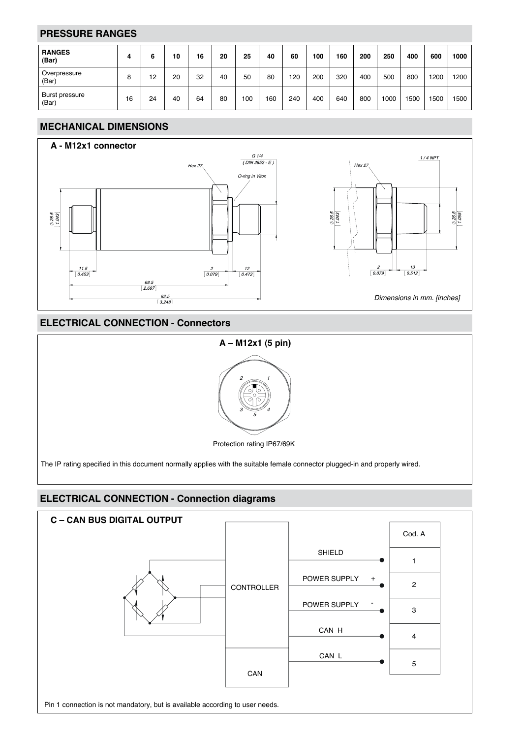## **PRESSURE RANGES**

| <b>RANGES</b><br>(Bar)  | 4  | 6  | 10 | 16 | 20 | 25  | 40  | 60  | 100 | 160 | 200 | 250  | 400 | 600  | 1000 |
|-------------------------|----|----|----|----|----|-----|-----|-----|-----|-----|-----|------|-----|------|------|
| Overpressure<br>(Bar)   | 8  | 12 | 20 | 32 | 40 | 50  | 80  | 120 | 200 | 320 | 400 | 500  | 800 | 1200 | 200  |
| Burst pressure<br>(Bar) | 16 | 24 | 40 | 64 | 80 | 100 | 160 | 240 | 400 | 640 | 800 | 1000 | 500 | 500  | 1500 |

## **MECHANICAL DIMENSIONS**



## **ELECTRICAL CONNECTION - Connectors**



# **ELECTRICAL CONNECTION - Connection diagrams**

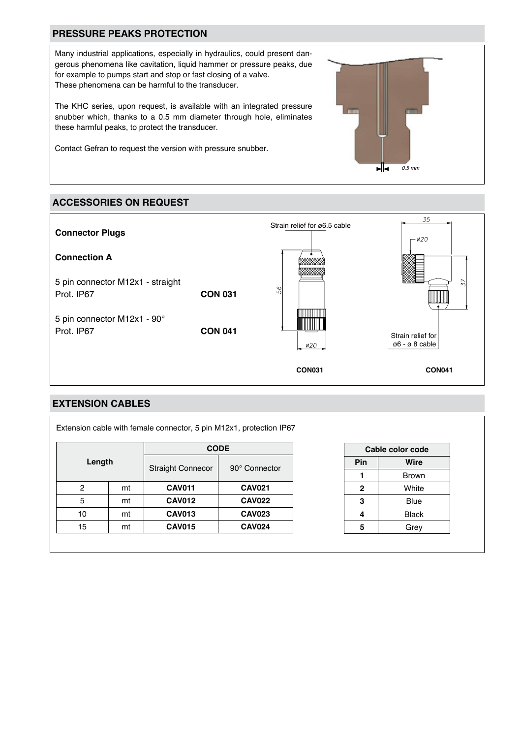## **PRESSURE PEAKS PROTECTION**

Many industrial applications, especially in hydraulics, could present dangerous phenomena like cavitation, liquid hammer or pressure peaks, due for example to pumps start and stop or fast closing of a valve. These phenomena can be harmful to the transducer.

The KHC series, upon request, is available with an integrated pressure snubber which, thanks to a 0.5 mm diameter through hole, eliminates these harmful peaks, to protect the transducer.

Contact Gefran to request the version with pressure snubber.

# **ACCESSORIES ON REQUEST**



#### **EXTENSION CABLES**

|         |    | <b>CODE</b>              |               |  |  |  |  |
|---------|----|--------------------------|---------------|--|--|--|--|
| Length  |    | <b>Straight Connecor</b> | 90° Connector |  |  |  |  |
| 2<br>mt |    | <b>CAV011</b>            | <b>CAV021</b> |  |  |  |  |
| 5       | mt | <b>CAV012</b>            | <b>CAV022</b> |  |  |  |  |
| 10      | mt | <b>CAV013</b>            | <b>CAV023</b> |  |  |  |  |
| 15      | mt | <b>CAV015</b>            | <b>CAV024</b> |  |  |  |  |

| Cable color code |              |  |  |  |  |  |  |  |  |
|------------------|--------------|--|--|--|--|--|--|--|--|
| Pin              | Wire         |  |  |  |  |  |  |  |  |
|                  | <b>Brown</b> |  |  |  |  |  |  |  |  |
| $\mathbf{2}$     | White        |  |  |  |  |  |  |  |  |
| 3                | Blue         |  |  |  |  |  |  |  |  |
| 4                | Black        |  |  |  |  |  |  |  |  |
| 5                | Grey         |  |  |  |  |  |  |  |  |

*0.5 mm*

╫┓